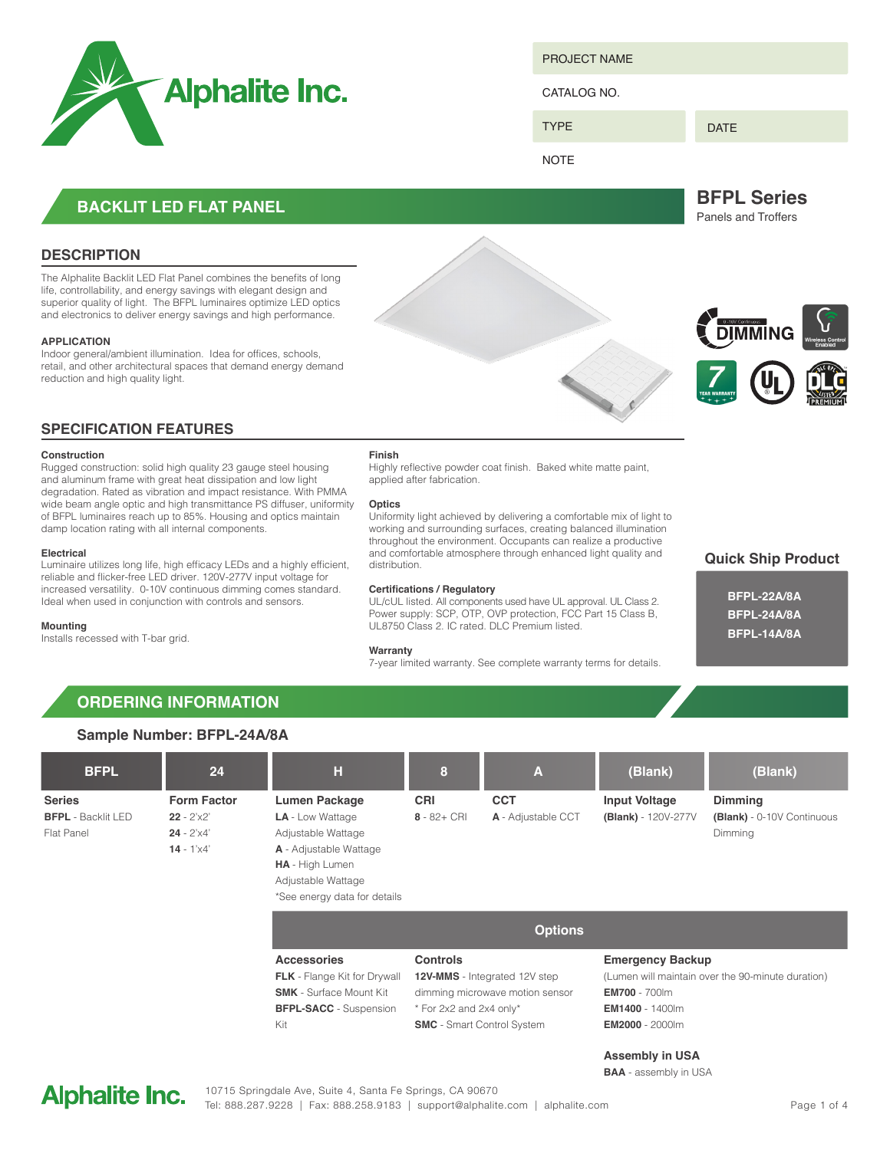

PROJECT NAME

CATALOG NO.

DATE

**NOTE** 

TYPE

# **BACKLIT LED FLAT PANEL**

### **DESCRIPTION**

The Alphalite Backlit LED Flat Panel combines the benefits of long life, controllability, and energy savings with elegant design and superior quality of light. The BFPL luminaires optimize LED optics and electronics to deliver energy savings and high performance.

### **APPLICATION**

**Construction**

**Electrical**

**Mounting**

Installs recessed with T-bar grid.

Indoor general/ambient illumination. Idea for offices, schools, retail, and other architectural spaces that demand energy demand reduction and high quality light.

Rugged construction: solid high quality 23 gauge steel housing and aluminum frame with great heat dissipation and low light degradation. Rated as vibration and impact resistance. With PMMA wide beam angle optic and high transmittance PS diffuser, uniformity of BFPL luminaires reach up to 85%. Housing and optics maintain

Luminaire utilizes long life, high efficacy LEDs and a highly efficient, reliable and flicker-free LED driver. 120V-277V input voltage for increased versatility. 0-10V continuous dimming comes standard. Ideal when used in conjunction with controls and sensors.

**SPECIFICATION FEATURES**

damp location rating with all internal components.

### **Finish**

Highly reflective powder coat finish. Baked white matte paint, applied after fabrication.

### **Optics**

Uniformity light achieved by delivering a comfortable mix of light to working and surrounding surfaces, creating balanced illumination throughout the environment. Occupants can realize a productive and comfortable atmosphere through enhanced light quality and distribution.

### **Certifications / Regulatory**

UL/cUL listed. All components used have UL approval. UL Class 2. Power supply: SCP, OTP, OVP protection, FCC Part 15 Class B, UL8750 Class 2. IC rated. DLC Premium listed.

### **Warranty**

7-year limited warranty. See complete warranty terms for details.

**Quick Ship Product**

## **BFPL-22A/8A BFPL-24A/8A BFPL-14A/8A**

# **ORDERING INFORMATION**

### **Sample Number: BFPL-24A/8A**

| <b>BFPL</b>                                              | 24                                                                               | н                                                                                                                                                                               | 8                                                                                                                                                          | A                                | (Blank)                                                                                                                                                  | (Blank)                                                 |  |
|----------------------------------------------------------|----------------------------------------------------------------------------------|---------------------------------------------------------------------------------------------------------------------------------------------------------------------------------|------------------------------------------------------------------------------------------------------------------------------------------------------------|----------------------------------|----------------------------------------------------------------------------------------------------------------------------------------------------------|---------------------------------------------------------|--|
| <b>Series</b><br><b>BFPL</b> - Backlit LED<br>Flat Panel | <b>Form Factor</b><br>$22 - 2'x2'$<br>$24 - 2' \times 4'$<br>$14 - 1' \times 4'$ | <b>Lumen Package</b><br><b>LA</b> - Low Wattage<br>Adjustable Wattage<br><b>A</b> - Adjustable Wattage<br>HA - High Lumen<br>Adjustable Wattage<br>*See energy data for details | <b>CRI</b><br>$8 - 82 + CRI$                                                                                                                               | <b>CCT</b><br>A - Adjustable CCT | <b>Input Voltage</b><br>(Blank) - 120V-277V                                                                                                              | Dimming<br>(Blank) - 0-10V Continuous<br><b>Dimming</b> |  |
|                                                          |                                                                                  | <b>Options</b>                                                                                                                                                                  |                                                                                                                                                            |                                  |                                                                                                                                                          |                                                         |  |
|                                                          |                                                                                  | <b>Accessories</b><br><b>FLK</b> - Flange Kit for Drywall<br><b>SMK</b> - Surface Mount Kit<br><b>BFPL-SACC</b> - Suspension<br>Kit                                             | <b>Controls</b><br><b>12V-MMS</b> - Integrated 12V step<br>dimming microwave motion sensor<br>* For 2x2 and 2x4 only*<br><b>SMC</b> - Smart Control System |                                  | <b>Emergency Backup</b><br>(Lumen will maintain over the 90-minute duration)<br><b>EM700</b> - 700lm<br><b>EM1400</b> - 1400lm<br><b>EM2000</b> - 2000lm |                                                         |  |

### **Assembly in USA**

**BAA** - assembly in USA





**BFPL Series** Panels and Troffers

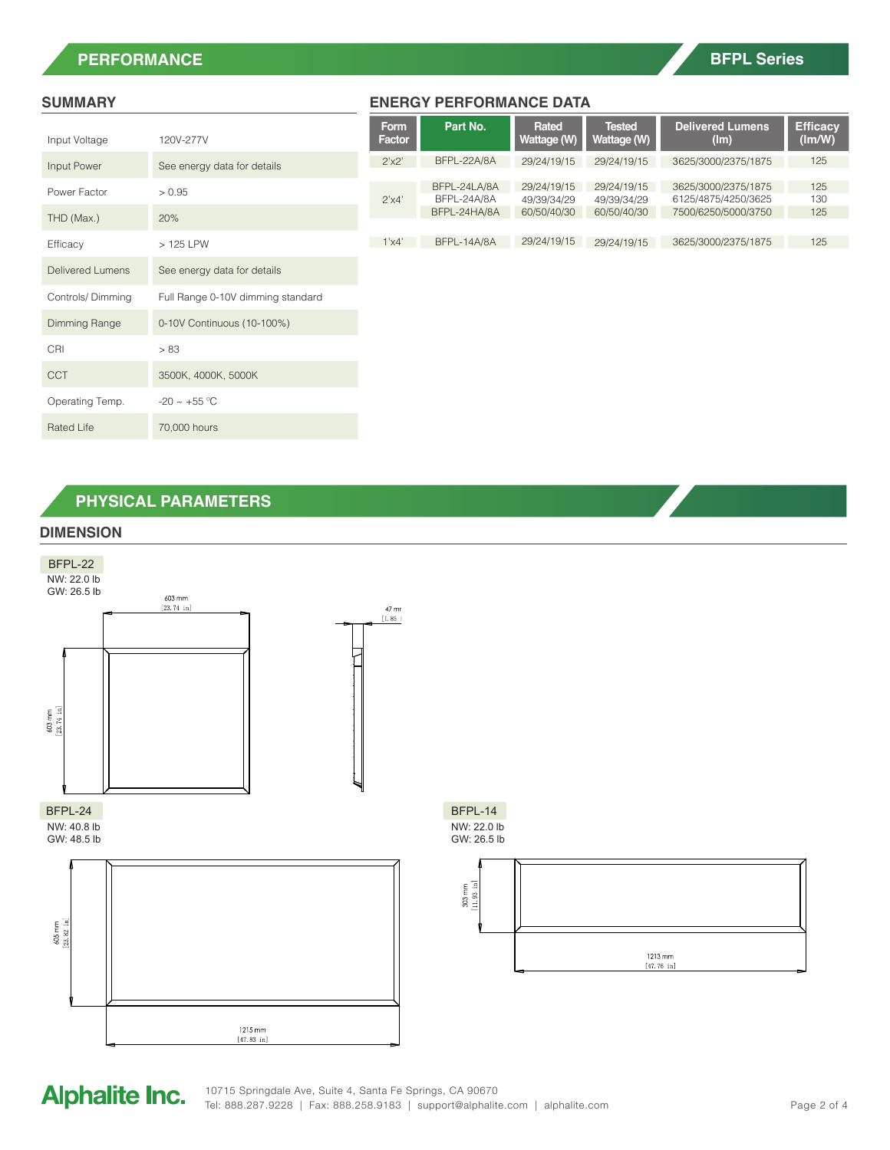# **PERFORMANCE**

# **BFPL Series**

| Input Voltage           | 120V-277V                         |  |  |
|-------------------------|-----------------------------------|--|--|
| Input Power             | See energy data for details       |  |  |
| Power Factor            | > 0.95                            |  |  |
| THD (Max.)              | 20%                               |  |  |
| Efficacy                | $>125$ LPW                        |  |  |
| <b>Delivered Lumens</b> | See energy data for details       |  |  |
| Controls/Dimming        | Full Range 0-10V dimming standard |  |  |
| Dimming Range           | 0-10V Continuous (10-100%)        |  |  |
| CRI                     | > 83                              |  |  |
| CCT                     | 3500K, 4000K, 5000K               |  |  |
| Operating Temp.         | $-20 \sim +55^{\circ}$ C          |  |  |
| Rated Life              | 70,000 hours                      |  |  |

### **SUMMARY ENERGY PERFORMANCE DATA**

|      | Form<br><b>Factor</b> | Part No.                                    | Rated<br>Wattage (W)                      | <b>Tested</b><br>Wattage (W)              | <b>Delivered Lumens</b><br>(lm)                                   | <b>Efficacy</b><br>(lm/W) |
|------|-----------------------|---------------------------------------------|-------------------------------------------|-------------------------------------------|-------------------------------------------------------------------|---------------------------|
|      | 2'x2'                 | BFPL-22A/8A                                 | 29/24/19/15                               | 29/24/19/15                               | 3625/3000/2375/1875                                               | 125                       |
|      | 2'x4'                 | BFPL-24LA/8A<br>BFPL-24A/8A<br>BFPL-24HA/8A | 29/24/19/15<br>49/39/34/29<br>60/50/40/30 | 29/24/19/15<br>49/39/34/29<br>60/50/40/30 | 3625/3000/2375/1875<br>6125/4875/4250/3625<br>7500/6250/5000/3750 | 125<br>130<br>125         |
|      | 1'x4'                 | BFPL-14A/8A                                 | 29/24/19/15                               | 29/24/19/15                               | 3625/3000/2375/1875                                               | 125                       |
|      |                       |                                             |                                           |                                           |                                                                   |                           |
| dard |                       |                                             |                                           |                                           |                                                                   |                           |

# **PHYSICAL PARAMETERS**

### **DIMENSION**



# **Alphalite Inc.**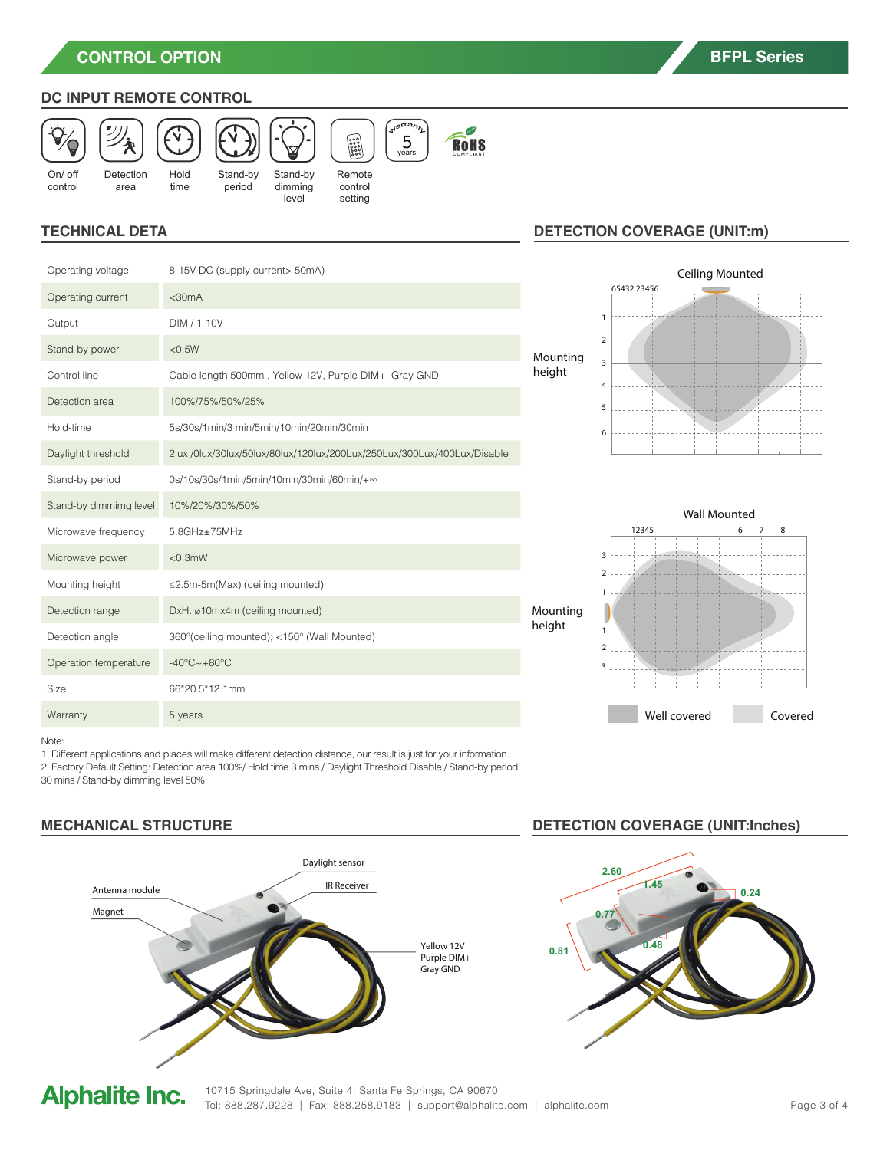**CONTROL OPTION**

# **DC INPUT REMOTE CONTROL**



## **TECHNICAL DETA**

| Operating voltage      | 8-15V DC (supply current> 50mA)                                         |        |
|------------------------|-------------------------------------------------------------------------|--------|
| Operating current      | $<$ 30 $mA$                                                             |        |
| Output                 | DIM / 1-10V                                                             |        |
| Stand-by power         | < 0.5W                                                                  | Mount  |
| Control line           | Cable length 500mm, Yellow 12V, Purple DIM+, Gray GND                   | height |
| Detection area         | 100%/75%/50%/25%                                                        |        |
| Hold-time              | 5s/30s/1min/3 min/5min/10min/20min/30min                                |        |
| Daylight threshold     | 2lux /0lux/30lux/50lux/80lux/120lux/200Lux/250Lux/300Lux/400Lux/Disable |        |
| Stand-by period        | 0s/10s/30s/1min/5min/10min/30min/60min/+∞                               |        |
| Stand-by dimmimg level | 10%/20%/30%/50%                                                         |        |
| Microwave frequency    | $5.8$ GHz $\pm$ 75MHz                                                   |        |
| Microwave power        | $< 0.3$ mW                                                              |        |
| Mounting height        | ≤2.5m-5m(Max) (ceiling mounted)                                         |        |
| Detection range        | DxH. ø10mx4m (ceiling mounted)                                          | Mounti |
| Detection angle        | 360° (ceiling mounted); <150° (Wall Mounted)                            | height |
| Operation temperature  | $-40^{\circ}$ C $\sim +80^{\circ}$ C                                    |        |
| Size                   | 66*20.5*12.1mm                                                          |        |
| Warranty               | 5 years                                                                 |        |
|                        |                                                                         |        |

# **DETECTION COVERAGE (UNIT:m)**





Note:

1. Different applications and places will make different detection distance, our result is just for your information. 2. Factory Default Setting: Detection area 100%/ Hold time 3 mins / Daylight Threshold Disable / Stand-by period 30 mins / Stand-by dimming level 50%



# **MECHANICAL STRUCTURE DETECTION COVERAGE (UNIT:Inches)**



# **Alphalite Inc.**

10715 Springdale Ave, Suite 4, Santa Fe Springs, CA 90670 Tel: 888.287.9228 | Fax: 888.258.9183 | support@alphalite.com | alphalite.com